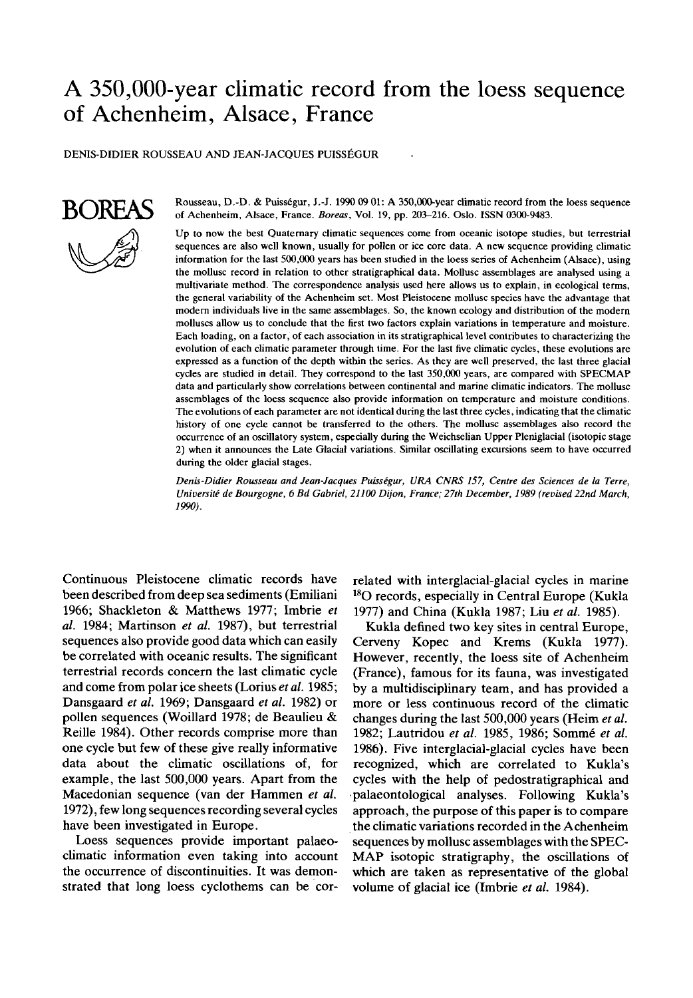# A 350,000-year climatic record from the loess sequence of Achenheim, Alsace, France

DENIS-DIDIER ROUSSEAU AND JEAN-JACQUES PUISSEGUR



BOREAS Rousseau, D.-D. & Puisségur, J.-J. 1990 09 01: A 350,000-year climatic record from the loess sequence<br>
of Achenheim, Alsace, France, *Boreas*, Vol. 19, pp. 203-216, Oslo, ISSN 0300-9483. of Achenheim, Alsace, France. *Boreas,* **Vol.** 19, pp. 20S216. **Oslo.** ISSN 0300-9483.

> Up to now the best Quaternary climatic sequences come from oceanic isotope studies, but terrestrial sequences are also well known, usually for pollen or ice core data. A new sequence providing climatic information for the last 500,000 years has been studied in the loess series of Achenheim (Alsace), using the mollusc record in relation to other stratigraphical data. Mollusc assemblages are analysed using a multivariate method. The correspondence analysis used here allows us to explain, in ecological terms, the general variability of the Achenheim set. Most Pleistocene mollusc species have the advantage that modem individuals live in the same assemhlages. So, the known ecology and distribution of the modern molluscs allow **us** to conclude that the first two factors explain variations in temperature and moisture. Each loading, on a factor, of each association in its stratigraphical level contributes to characterizing the evolution of each climatic parameter through time. For the last five climatic cycles, these evolutions are expressed as a function of the depth within the series. As they are well preserved, the last three glacial cycles are studied in detail. They correspond to the last 350,000 years, are compared with SPECMAP data and particularly show correlations between continental and marine climatic indicators. The mollusc assemblages of the loess sequence also provide information on temperature and moisture conditions. The evolutions of each parameter are not identical during the last three cycles, indicating that the climatic history of one cycle cannot be transferred to the others. The mollusc assemblages also record the occurrence of an oscillatory system, especially during the Weichselian Upper Pleniglacial (isotopic stage 2) when it announces the Late Glacial variations. Similar oscillating excursions seem to have occurred during the older glacial stages.

> *Denis-Didier Rousseau and Jean-Jacques Puisskgur, LIRA CNRS 157, Centre des Sciences de la Terre, Universitk de Bourgogne, 6 Bd Gabriel, 21100 Dijon, France; 27th December, 1989 (revised 22nd March, 1990).*

Continuous Pleistocene climatic records have been described from deep sea sediments (Emiliani 1966; Shackleton & Matthews 1977; Imbrie *et al.* 1984; Martinson et al. 1987), but terrestrial sequences also provide good data which can easily be correlated with oceanic results. The significant terrestrial records concern the last climatic cycle and come from polar ice sheets (Lorius *et* al. 1985; Dansgaard *et al.* 1969; Dansgaard et *al.* 1982) or pollen sequences (Woillard 1978; de Beaulieu & Reille 1984). Other records comprise more than one cycle but few of these give really informative data about the climatic oscillations of, for example, the last 500,000 years. Apart from the Macedonian sequence (van der Hammen et al. 1972), few long sequences recording several cycles have been investigated in Europe.

Loess sequences provide important palaeoclimatic information even taking into account the occurrence of discontinuities. It was demonstrated that long loess cyclothems can be correlated with interglacial-glacial cycles in marine **l80** records, especially in Central Europe (Kukla 1977) and China (Kukla 1987; Liu et *al.* 1985).

Kukla defined two key sites in central Europe, Cerveny Kopec and Krems (Kukla 1977). However, recently, the loess site of Achenheim (France), famous for its fauna, was investigated by a multidisciplinary team, and has provided a more or less continuous record of the climatic changes during the last 500,000 years (Heim et al. 1982; Lautridou et al. 1985, 1986; Sommé et al. 1986). Five interglacial-glacial cycles have been recognized, which are correlated to Kukla's cycles with the help of pedostratigraphical and .palaeontological analyses. Following Kukla's approach, the purpose of this paper is to compare the climatic variations recorded in the Achenheim sequences by mollusc assemblages with the SPEC-MAP isotopic stratigraphy, the oscillations of which are taken as representative of the global volume of glacial ice (Imbrie *et al.* 1984).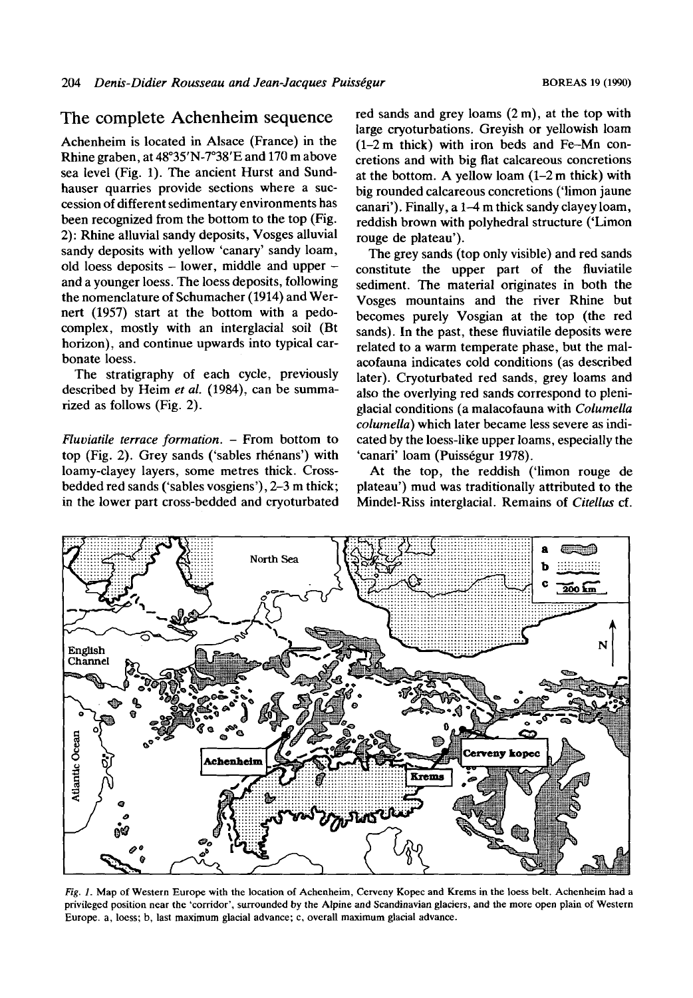### The complete Achenheim sequence

Achenheim is located in Alsace (France) in the Rhine graben, at 48°35'N-7°38'E and 170 m above sea level (Fig. 1). The ancient Hurst and Sundhauser quarries provide sections where a succession of different sedimentary environments has been recognized from the bottom to the top (Fig. 2): Rhine alluvial sandy deposits, Vosges alluvial sandy deposits with yellow 'canary' sandy loam, old loess deposits - lower, middle and upper - and a younger loess. The loess deposits, following the nomenclature of Schumacher (1914) and Wernert (1957) start at the bottom with a pedocomplex, mostly with an interglacial soil (Bt horizon), and continue upwards into typical carbonate loess.

The stratigraphy of each cycle, previously described by Heim *et al.* (1984), can be summarized as follows (Fig. 2).

*Fluviatile terrace formation.* - From bottom to top (Fig. 2). Grey sands ('sables rhénans') with loamy-clayey layers, some metres thick. Crossbedded red sands ('sables vosgiens'), 2-3 m thick; in the lower part cross-bedded and cryoturbated red sands and grey loams  $(2 \, \text{m})$ , at the top with large cryoturbations. Greyish or yellowish loam (1-2m thick) with iron beds and Fe-Mn concretions and with big flat calcareous concretions at the bottom. **A** yellow loam (1-2 m thick) with big rounded calcareous concretions ('limon jaune canari'). Finally, a 1-4 m thick sandy clayey loam, reddish brown with polyhedral structure ('Limon rouge de plateau').

The grey sands (top only visible) and red sands constitute the upper part of the fluviatile sediment. The material originates in both the Vosges mountains and the river Rhine but becomes purely Vosgian at the top (the red sands). In the past, these fluviatile deposits were related to a warm temperate phase, but the malacofauna indicates cold conditions (as described later). Cryoturbated red sands, grey loams and also the overlying red sands correspond to pleniglacial conditions (a malacofauna with *Columella columella)* which later became less severe as indicated by the loess-like upper loams, especially the 'canari' loam (Puisségur 1978).

At the top, the reddish ('limon rouge de plateau') mud was traditionally attributed to the Mindel-Riss interglacial. Remains of *Citellus* cf.



*Fig. 1.* Map of Western Europe with the location of Achenheim, Cerveny Kopec and Krems in the loess belt. Achenheim had a **privileged position near the 'corridor', surrounded by the Alpine and Scandinavian glaciers, and the more open plain of Western Europe. a, loess;** b, **last maximum glacial advance; c, overall maximum glacial advance.**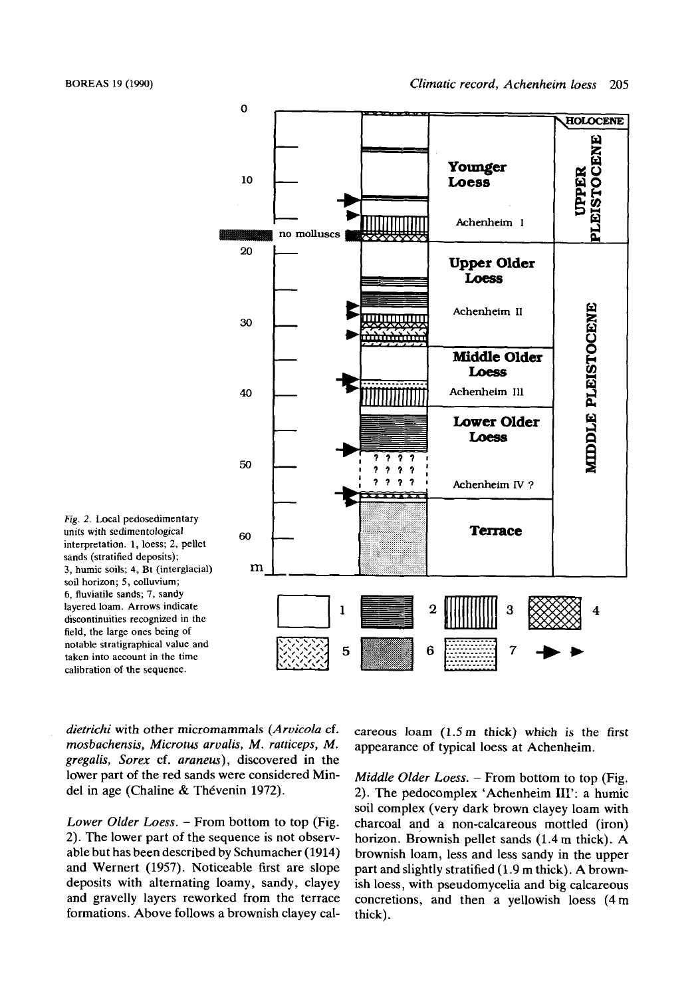

*Fig.* 2. Local pedosedimentary units with sedimentological interpretation. **1,** loess; 2, pellet sands (stratified deposits); 3, humic soils; **4,** Bt (interglacial) soil horizon; 5, colluvium; 6, fluviatile sands; 7, sandy layered loam. Arrows indicate discontinuities recognized in the field, the large ones being of notable stratigraphical value and taken into account in the time calibration of the sequence.

*dietrichi* with other micromammals *(Aruicola* cf. *mosbachensis, Microtus arualis, M. ratticeps, M. gregalis, Sorex* cf. *araneus),* discovered in the lower part of the red sands were considered Mindel in age (Chaline & Thévenin 1972).

*Lower Older Loess.* - From bottom to top (Fig. 2). The lower part of the sequence is not observable but has been described by Schumacher (1914) and Wernert (1957). Noticeable first are slope deposits with alternating loamy, sandy, clayey and gravelly layers reworked from the terrace formations. Above follows a brownish clayey calcareous loam  $(1.5 \text{ m}$  thick) which is the first appearance of typical loess at Achenheim.

*Middle Older Loess.* – From bottom to top (Fig. 2). The pedocomplex 'Achenheim **111':** a humic soil complex (very dark brown clayey loam with charcoal and a non-calcareous mottled (iron) horizon. Brownish pellet sands (1.4 m thick). **A**  brownish loam, less and less sandy in the upper part and slightly stratified (1.9 m thick). A brownish loess, with pseudornycelia and big calcareous concretions, and then a yellowish loess (4m thick).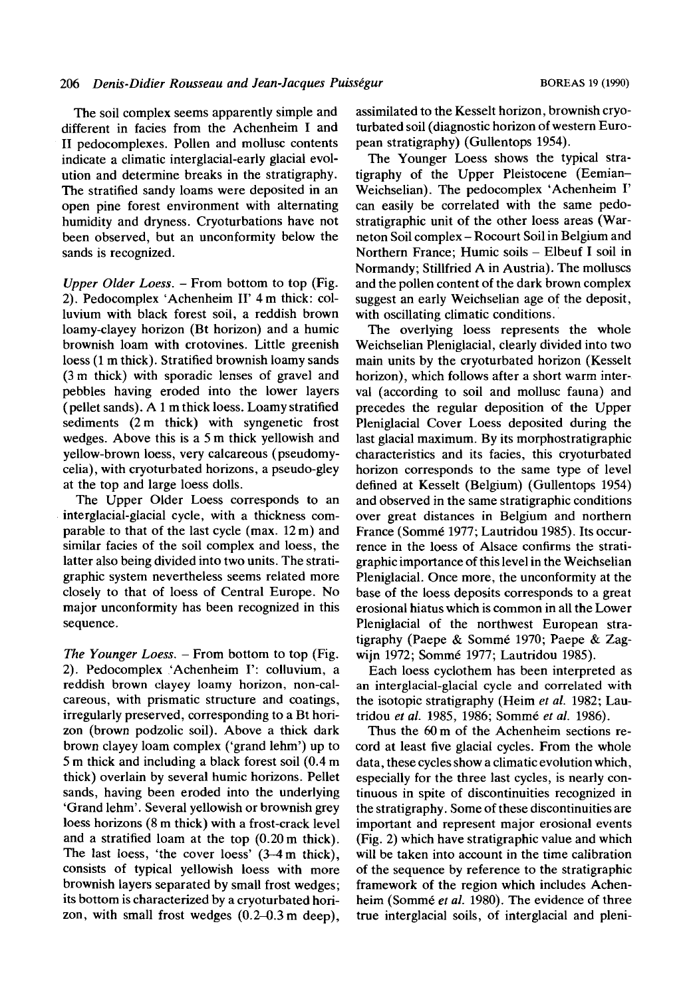The soil complex seems apparently simple and different in facies from the Achenheim I and **I1** pedocomplexes. Pollen and mollusc contents indicate a climatic interglacial-early glacial evolution and determine breaks in the stratigraphy. The stratified sandy loams were deposited in an open pine forest environment with alternating humidity and dryness. Cryoturbations have not been observed, but an unconformity below the sands is recognized.

*Upper Older Loess.* – From bottom to top (Fig. 2). Pedocomplex 'Achenheim **11'** 4 m thick: colluvium with black forest soil, a reddish brown loamy-clayey horizon (Bt horizon) and a humic brownish loam with crotovines. Little greenish loess (1 m thick). Stratified brownish loamy sands (3m thick) with sporadic lenses of gravel and pebbles having eroded into the lower layers (pellet sands). A 1 m thick loess. Loamy stratified sediments (2 m thick) with syngenetic frost wedges. Above this is a 5 m thick yellowish and yellow-brown loess, very calcareous (pseudomycelia), with cryoturbated horizons, a pseudo-gley at the top and large loess dolls.

The Upper Older Loess corresponds to an interglacial-glacial cycle, with a thickness comparable to that of the last cycle (max. 12 m) and similar facies of the soil complex and loess, the latter also being divided into two units. The stratigraphic system nevertheless seems related more closely to that of loess of Central Europe. No major unconformity has been recognized in this sequence.

*The Younger Loess.* - From bottom to top (Fig. 2). Pedocomplex 'Achenheim **1':** colluvium, a reddish brown clayey loamy horizon, non-calcareous, with prismatic structure and coatings, irregularly preserved, corresponding to a Bt horizon (brown podzolic soil). Above a thick dark brown clayey loam complex ('grand lehm') up to 5 m thick and including a black forest soil (0.4 m thick) overlain by several humic horizons. Pellet sands, having been eroded into the underlying 'Grand lehm'. Several yellowish or brownish grey loess horizons (8 m thick) with a frost-crack level and a stratified loam at the top  $(0.20 \text{ m} \text{ thick})$ . The last loess, 'the cover loess'  $(3-4 \text{ m thick})$ , consists of typical yellowish loess with more brownish layers separated by small frost wedges; its bottom is characterized by a cryoturbated horizon, with small frost wedges  $(0.2-0.3 \text{ m} \text{ deep})$ ,

assimilated to the Kesselt horizon, brownish cryoturbated soil (diagnostic horizon of western European stratigraphy) (Gullentops 1954).

The Younger Loess shows the typical stratigraphy of the Upper Pleistocene (Eemian-Weichselian). The pedocomplex 'Achenheim I' can easily be correlated with the same pedostratigraphic unit of the other loess areas (Warneton Soil complex - Rocourt Soil in Belgium and Northern France; Humic soils - Elbeuf I soil in Normandy; Stillfried A in Austria). The molluscs and the pollen content of the dark brown complex suggest an early Weichselian age of the deposit, with oscillating climatic conditions.

The overlying loess represents the whole Weichselian Pleniglacial, clearly divided into two main units by the cryoturbated horizon (Kesselt horizon), which follows after a short warm interval (according to soil and mollusc fauna) and precedes the regular deposition of the Upper Pleniglacial Cover Loess deposited during the last glacial maximum. By its morphostratigraphic characteristics and its facies, this cryoturbated horizon corresponds to the same type of level defined at Kesselt (Belgium) (Gullentops 1954) and observed in the same stratigraphic conditions over great distances in Belgium and northern France (Sommé 1977; Lautridou 1985). Its occurrence in the loess of Alsace confirms the stratigraphic importance of this level in the Weichselian Pleniglacial. Once more, the unconformity at the base of the loess deposits corresponds to a great erosional hiatus which is common in all the Lower Pleniglacial of the northwest European stratigraphy (Paepe & Sommé 1970; Paepe & Zagwijn 1972; Sommé 1977; Lautridou 1985).

Each loess cyclothem has been interpreted as an interglacial-glacial cycle and correlated with the isotopic stratigraphy (Heim *et* al. 1982; Lautridou *et al.* 1985, 1986; Somme *et* al. 1986).

Thus the 60m of the Achenheim sections record at least five glacial cycles. From the whole data, these cycles show a climatic evolution which, especially for the three last cycles, is nearly continuous in spite of discontinuities recognized in the stratigraphy. Some of these discontinuities are important and represent major erosional events (Fig. 2) which have stratigraphic value and which will be taken into account in the time calibration of the sequence by reference to the stratigraphic framework of the region which includes Achenheim (Sommé et al. 1980). The evidence of three true interglacial soils, of interglacial and pleni-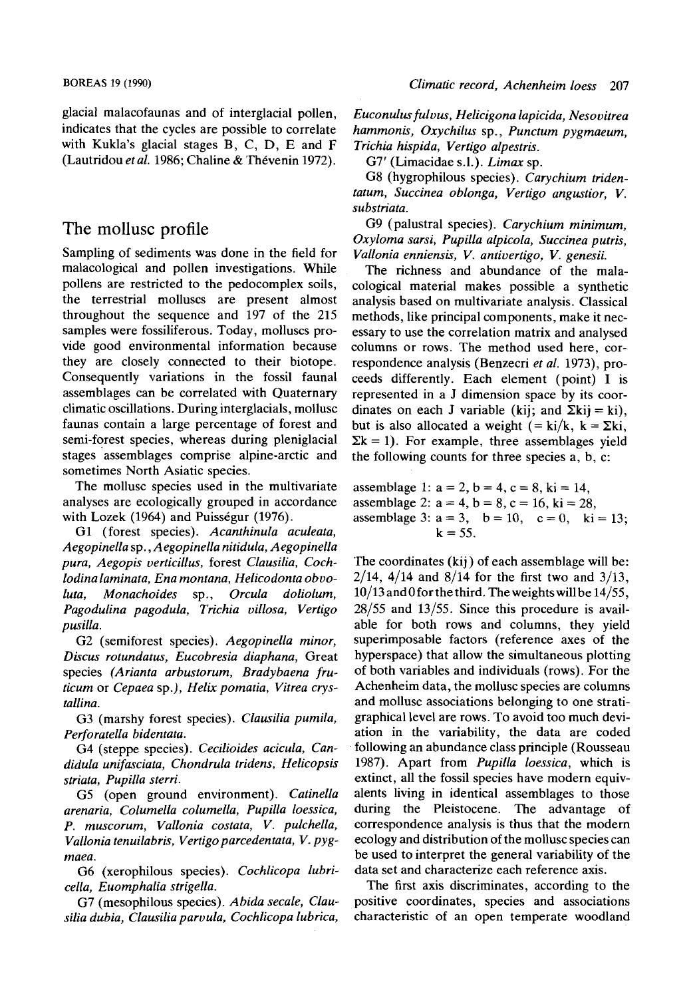glacial malacofaunas and of interglacial pollen, indicates that the cycles are possible to correlate with Kukla's glacial stages B, C, D, E and F (Lautridou *et al.* 1986; Chaline & Thevenin 1972).

# The mollusc profile

Sampling of sediments was done in the field for malacological and pollen investigations. While pollens are restricted to the pedocomplex soils, the terrestrial molluscs are present almost throughout the sequence and 197 of the 215 samples were fossiliferous. Today, molluscs provide good environmental information because they are closely connected to their biotope. Consequently variations in the fossil faunal assemblages can be correlated with Quaternary climatic oscillations. During interglacials, mollusc faunas contain a large percentage of forest and semi-forest species, whereas during pleniglacial stages assemblages comprise alpine-arctic and sometimes North Asiatic species.

The mollusc species used in the multivariate analyses are ecologically grouped in accordance with Lozek (1964) and Puisségur (1976).

G1 (forest species). *Acanthinula aculeata, Aegopinella* sp., *Aegopinella nitidula, Aegopinella pura, Aegopis verticillus,* forest *Clausilia, Cochlodina laminata, Ena montana, Helicodonta obvoluta, Monachoides* sp., *Orcula doliolum, Pagodulina pagodula, Trichia villosa, Vertigo pusilla.* 

G2 (semiforest species). *Aegopinella minor, Discus rotundatus, Eucobresia diaphana,* Great species *(Arianta arbustorum, Bradybaena fruticum* or *Cepaea* sp.), *Helix pomatia, Vitrea crystallina.* 

G3 (marshy forest species). *Clausilia pumila, Perforatella bidentata.* 

G4 (steppe species). *Cecilioides acicula, Candidula unifasciata, Chondrula tridens, Helicopsis striata, Pupilla sterri.* 

G5 (open ground environment). *Catinella arenaria, Columella columella, Pupilla loessica, P. muscorum, Vallonia costata, V. pulchella, Vallonia tenuilabris, Vertigo parcedentata, V. pygmaea.* 

G6 (xerophilous species). *Cochlicopa lubricella, Euomphalia strigella.* 

G7 (mesophilous species). *Abida secale, Clausilia dubia, Clausilia paruula, Cochlicopa lubrica,*  *Euconulus fuluus, Helicigona lapicida, Nesovitrea hammonis, Oxychilus* sp., *Punctum pygmaeum, Trichia hispida, Vertigo alpestris.* 

G7' (Limacidae s.l.). *Limax* sp.

G8 (hygrophilous species). *Carychium tridentatum, Succinea oblonga, Vertigo angustior, V. substriata.* 

G9 (palustral species). *Carychium minimum, Oxyloma sarsi, Pupilia alpicola, Succinea putris, Vallonia enniensis, V. antivertigo, V. genesii.* 

The richness and abundance of the malacological material makes possible a synthetic analysis based on multivariate analysis. Classical methods, like principal components, make it necessary to use the correlation matrix and analysed columns or rows. The method used here, correspondence analysis (Benzecri *et al.* 1973), proceeds differently. Each element (point) I is represented in a J dimension space by its coordinates on each J variable (kij; and  $\Sigma$ kij = ki), but is also allocated a weight (= ki/k,  $k = \sum k i$ ,  $\Sigma$ k = 1). For example, three assemblages yield the following counts for three species a, b, c:

assemblage 1:  $a = 2$ ,  $b = 4$ ,  $c = 8$ ,  $ki = 14$ , assemblage 2:  $a = 4$ ,  $b = 8$ ,  $c = 16$ ,  $ki = 28$ , assemblage 3:  $a = 3$ ,  $b = 10$ ,  $c = 0$ ,  $ki = 13$ ;  $k = 55$ .

The coordinates (kij) of each assemblage will be:  $2/14$ ,  $4/14$  and  $8/14$  for the first two and  $3/13$ ,  $10/13$  and 0 for the third. The weights will be  $14/55$ , 28/55 and 13/55. Since this procedure is available for both rows and columns, they yield superimposable factors (reference axes of the hyperspace) that allow the simultaneous plotting of both variables and individuals (rows). For the Achenheim data, the mollusc species are columns and mollusc associations belonging to one stratigraphical level are rows. To avoid too much deviation in the variability, the data are coded following an abundance class principle (Rousseau 1987). Apart from *Pupilla loessica,* which is extinct, all the fossil species have modern equivalents living in identical assemblages to those during the Pleistocene. The advantage of correspondence analysis is thus that the modern ecology and distribution of the mollusc species can be used to interpret the general variability of the data set and characterize each reference axis.

The first axis discriminates, according to the positive coordinates, species and associations characteristic of an open temperate woodland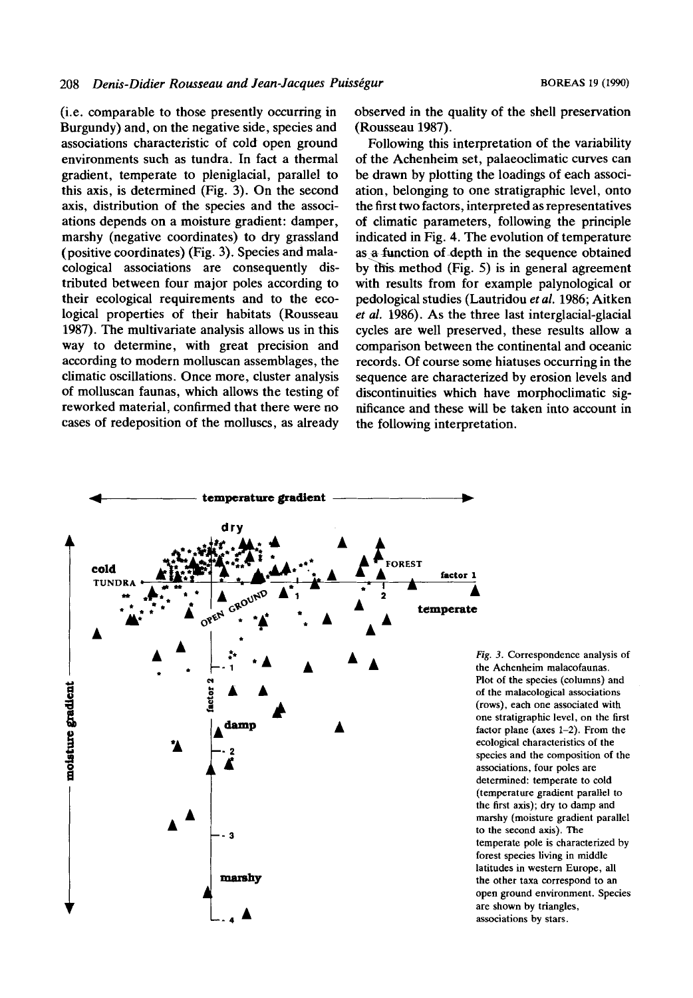(i.e. comparable to those presently occurring in Burgundy) and, on the negative side, species and associations characteristic of cold open ground environments such as tundra. In fact a thermal gradient, temperate to pleniglacial, parallel to this axis, is determined (Fig. 3). On the second axis, distribution of the species and the associations depends on a moisture gradient: damper, marshy (negative coordinates) to dry grassland (positive coordinates) (Fig. 3). Species and malacological associations are consequently distributed between four major poles according to their ecological requirements and to the ecological properties of their habitats (Rousseau 1987). The multivariate analysis allows us in this way to determine, with great precision and according to modern molluscan assemblages, the climatic oscillations. Once more, cluster analysis of molluscan faunas, which allows the testing of reworked material, confirmed that there were no cases of redeposition of the molluscs, as already observed in the quality of the shell preservation (Rousseau 1987).

Following this interpretation of the variability of the Achenheim set, palaeoclimatic curves can be drawn by plotting the loadings of each association, belonging to one stratigraphic level, onto the first two factors, interpreted as representatives of climatic parameters, following the principle indicated in Fig. **4.** The evolution of temperature as a function of depth in the sequence obtained by this method (Fig. 5) is in general agreement with results from for example palynological or pedological studies (Lautridou *et al.* 1986; Aitken *et al.* 1986). As the three last interglacial-glacial cycles are well preserved, these results allow a comparison between the continental and oceanic records. Of course some hiatuses occurring in the sequence are characterized by erosion levels and discontinuities which have morphoclimatic significance and these will be taken into account in the following interpretation.



*Fig.* 3. Correspondence analysis of the Achenheim malacofaunas. Plot of the species (columns) and of the malacological associations (rows), each one associated with one stratigraphic level, on the first factor plane (axes 1-2). From the ecological characteristics of the species and the composition of the associations, four poles are determined: temperate to cold (temperature gradient parallel to the first axis); dry to damp and marshy (moisture gradient parallel to the second axis). The temperate pole is characterized by forest species living in middle latitudes in western Europe, all the other taxa correspond to an open ground environment. Species are shown by triangles, associations by stars.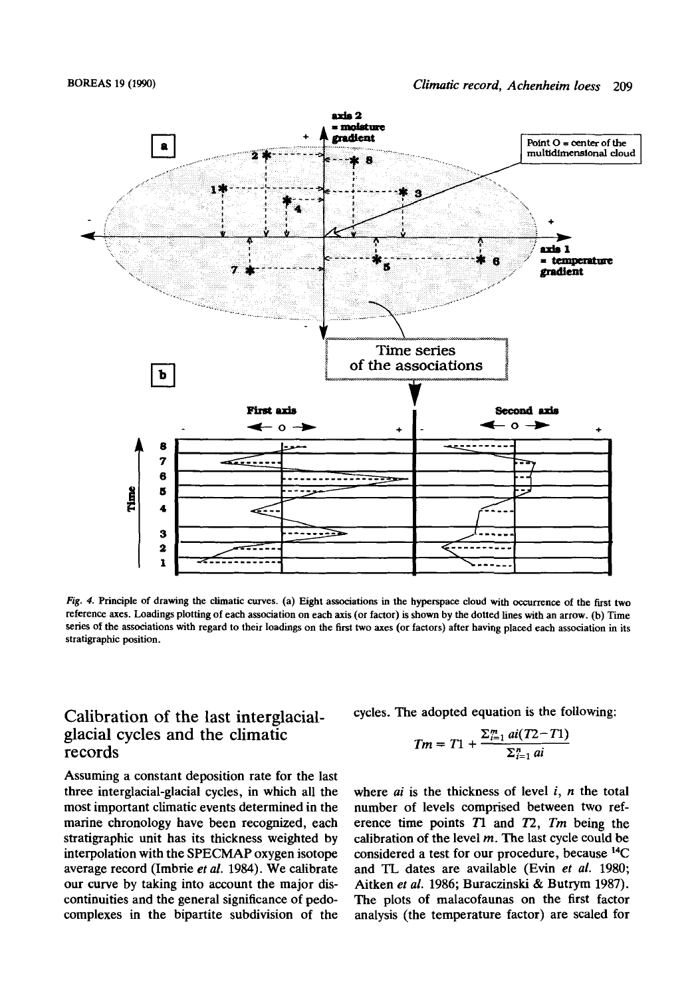

*Fig. 4.* Principle of drawing the climatic curves. (a) Eight associations in the hyperspace cloud with occurrence of the first two reference axes. Loadings plotting of each association **on** each **axis** (or factor) is shown by the dotted lines with an arrow. **(b)** Time series of the associations with regard to their loadings **on** the first two axes (or factors) after having placed each association in its stratigraphic position.

# Calibration of the last interglacialglacial cycles and the climatic records

Assuming a constant deposition rate for the last three interglacial-glacial cycles, in which all the most important climatic events determined in the marine chronology have been recognized, each stratigraphic unit has its thickness weighted by interpolation with the **SPECMAP** oxygen isotope average record (Imbrie *et al.* 1984). We calibrate our curve by taking into account the major discontinuities and the general significance of pedocomplexes in the bipartite subdivision of the

cycles. The adopted equation is the following:

$$
Tm = T1 + \frac{\sum_{i=1}^{m} ai(T2 - T1)}{\sum_{i=1}^{n} ai}
$$

where *ai* is the thickness of level *i, n* the total number of levels comprised between **two** reference time points *Tl* and *12, Tm* being the calibration of the level *m.* The last cycle could be considered a test for our procedure, because **14C**  and **TL** dates are available (Evin *et al.* 1980; Aitken *et* al. 1986; Buraczinski & Butrym 1987). The plots of malacofaunas on the first factor analysis (the temperature factor) are scaled for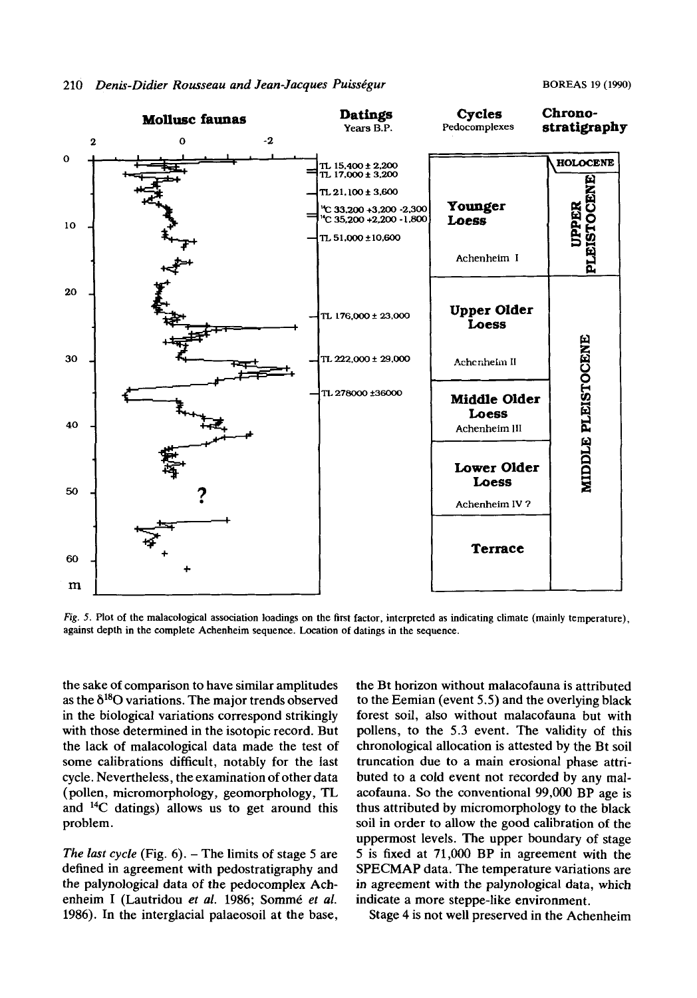

*Fig.* **5. Plot of the malacological association loadings on the first factor, interpreted as indicating climate (mainly temperature), against depth in the complete Achenheim sequence. Location of datings in the sequence.** 

the sake of comparison to have similar amplitudes as the  $\delta^{18}$ O variations. The major trends observed in the biological variations correspond strikingly with those determined in the isotopic record. But the lack of malacological data made the test of some calibrations difficult, notably for the last cycle. Nevertheless, the examination of other data (pollen, micromorphology, geomorphology, TL and **14C** datings) allows us to get around this problem.

The *last cycle* (Fig. 6). – The limits of stage 5 are defined in agreement with pedostratigraphy and the palynological data of the pedocomplex Achenheim I (Lautridou et al. 1986; Sommé et al. 1986). In the interglacial palaeosoil at the base, the Bt horizon without malacofauna is attributed to the Eemian (event 5.5) and the overlying black forest soil, also without malacofauna but with pollens, to the 5.3 event. The validity of this chronological allocation is attested by the Bt soil truncation due to a main erosional phase attributed to a cold event not recorded by any malacofauna. So the conventional 99,000 BP age is thus attributed by micromorphology to the black soil in order to allow the good calibration of the uppermost levels. The upper boundary of stage 5 is fixed at 71,000 **BP** in agreement with the **SPECMAP** data. The temperature variations are in agreement with the palynological data, which indicate a more steppe-like environment.

Stage **4** is not well preserved in the Achenheim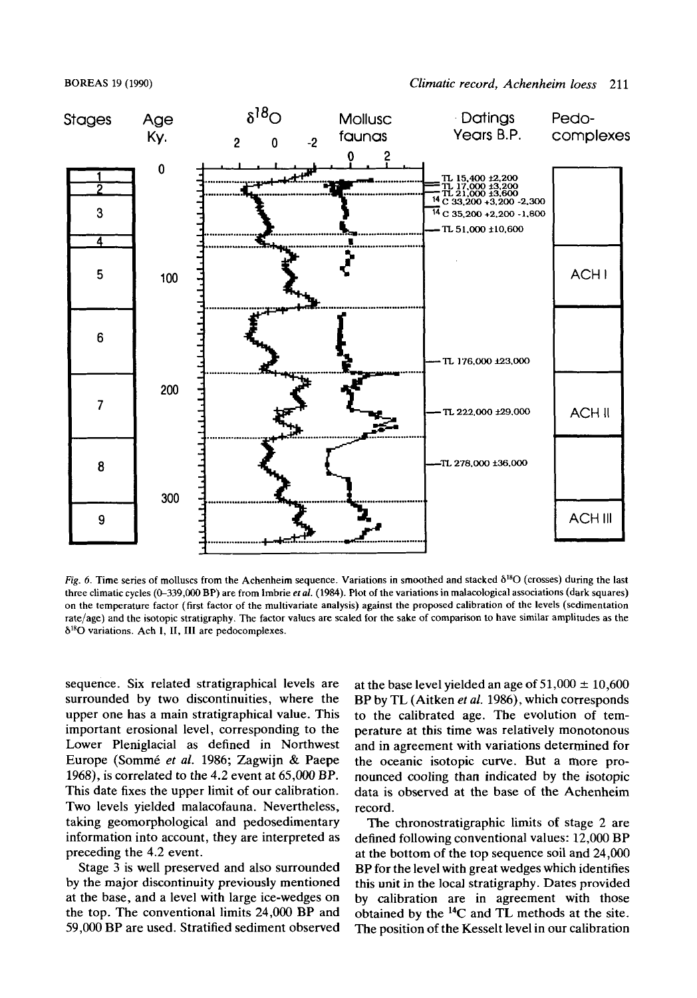#### **BOREAS** 19 (1990)



*Fig.* **6. Time series of molluscs from the Achenheim sequence. Variations in smoothed and stacked** 6'"O **(crosses) during the last**  three climatic cycles (0–339,000 BP) are from Imbrie *et al.* (1984). Plot of the variations in malacological associations (dark squares) **on the temperature factor (first factor of the multivariate analysis) against the proposed calibration of the levels (sedimentation rate/age) and the isotopic stratigraphy. The factor vaiues are scaled for the sake of comparison to have similar amplitudes as the 6IRO variations. Ach I, 11, 111 are pedocomplexes.** 

sequence. Six related stratigraphical levels are surrounded by two discontinuities, where the upper one has a main stratigraphical value. This important erosional level, corresponding to the Lower Pleniglacial as defined in Northwest Europe (Sommé *et al.* 1986; Zagwijn & Paepe 1968), is correlated to the 4.2 event at 65,000 BP. This date fixes the upper limit of our calibration. Two levels yielded malacofauna. Nevertheless, taking geomorphological and pedosedimentary information into account, they are interpreted as preceding the 4.2 event.

Stage 3 is well preserved and also surrounded by the major discontinuity previously mentioned at the base, and a level with large ice-wedges on the top. The conventional limits 24,000 BP and 59,000 BP are used. Stratified sediment observed at the base level yielded an age of  $51,000 \pm 10,600$ BP by TL (Aitken *et al.* 1986), which corresponds to the calibrated age. The evolution of temperature at this time was relatively monotonous and in agreement with variations determined for the oceanic isotopic curve. But a more pronounced cooling than indicated by the isotopic data is observed at the base of the Achenheim record.

The chronostratigraphic limits of stage 2 are defined following conventional values: 12,000 BP at the bottom of the top sequence soil and 24,000 BP for the level with great wedges which identifies this unit in the local stratigraphy. Dates provided by calibration are in agreement with those obtained by the **14C** and TL methods at the site. The position of the Kesselt level in our calibration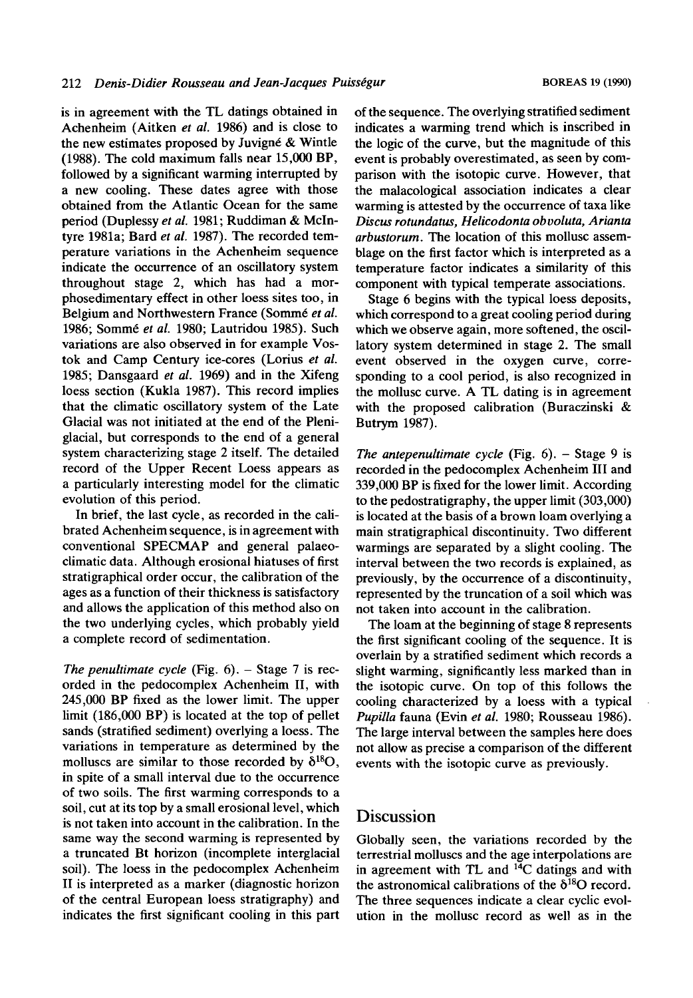is in agreement with the **TL,** datings obtained in Achenheim (Aitken *et al.* 1986) and is close to the new estimates proposed by Juvigne & Wintle (1988). The cold maximum falls near 15,000 BP, followed by a significant warming interrupted by a new cooling. These dates agree with those obtained from the Atlantic Ocean for the same period (Duplessy *et al.* 1981; Ruddiman & McIntyre **1981a;** Bard *et al.* 1987). The recorded temperature variations in the Achenheim sequence indicate the occurrence of an oscillatory system throughout stage 2, which has had a morphosedimentary effect in other loess sites too, in Belgium and Northwestern France (Sommé et al. 1986; Somm6 *et al.* 1980; Lautridou 1985). Such variations are also observed in for example **Vos**tok and Camp Century ice-cores (Lorius *et al.*  1985; Dansgaard *et al.* 1969) and in the Xifeng loess section (Kukla 1987). This record implies that the climatic oscillatory system of the Late Glacial was not initiated at the end of the Pleniglacial, but corresponds to the end of a general system characterizing stage 2 itself. The detailed record of the Upper Recent Loess appears as a particularly interesting model for the climatic evolution of this period.

In brief, the last cycle, as recorded in the calibrated Achenheim sequence, is in agreement with conventional SPECMAP and general palaeoclimatic data. Although erosional hiatuses of first stratigraphical order occur, the calibration of the ages as a function of their thickness is satisfactory and allows the application of this method also on the two underlying cycles, which probably yield a complete record of sedimentation.

*The penultimate cycle* (Fig. 6). – Stage 7 is recorded in the pedocomplex Achenheim **11,** with 245,000 BP fixed as the lower limit. The upper limit (186,000 BP) is located at the top of pellet sands (stratified sediment) overlying a loess. The variations in temperature as determined by the molluscs are similar to those recorded by  $\delta^{18}O$ , in spite of a small interval due to the occurrence of two soils. The first warming corresponds to a soil, cut at its top by a small erosional level, which is not taken into account in the calibration. In the same way the second warming is represented by a truncated Bt horizon (incomplete interglacial soil). The loess in the pedocomplex Achenheim **I1** is interpreted as a marker (diagnostic horizon of the central European loess stratigraphy) and indicates the first significant cooling in this part of the sequence. The overlying stratified sediment indicates a warming trend which is inscribed in the logic of the curve, but the magnitude of this event is probably overestimated, as seen by comparison with the isotopic curve. However, that the malacological association indicates a clear warming is attested by the occurrence of taxa like *Discus rotundatus, Helicodonta obuoluta, Arianta arbustorurn.* The location of this mollusc assemblage on the first factor which is interpreted as a temperature factor indicates a similarity of this component with typical temperate associations.

Stage 6 begins with the typical loess deposits, which correspond to a great cooling period during which we observe again, more softened, the oscillatory system determined in stage 2. The small event observed in the oxygen curve, corresponding to a cool period, is also recognized in the mollusc curve. A TL dating is in agreement with the proposed calibration (Buraczinski & Butrym 1987).

*The antepenultimate cycle* (Fig.  $6$ ).  $-$  Stage 9 is recorded in the pedocomplex Achenheim **I11** and 339,000 BP is fixed for the lower limit. According to the pedostratigraphy, the upper limit (303,000) is located at the basis of a brown loam overlying a main stratigraphical discontinuity. Two different warmings are separated by a slight cooling. The interval between the two records is explained, as previously, by the occurrence of a discontinuity, represented by the truncation of a soil which was not taken into account in the calibration.

The loam at the beginning of stage 8 represents the first significant cooling of the sequence. It is overlain by a stratified sediment which records a slight warming, significantly less marked than in the isotopic curve. On top of this follows the cooling characterized by a loess with a typical *Pupilla* fauna (Evin *et al.* 1980; Rousseau 1986). The large interval between the samples here does not allow as precise a comparison of the different events with the isotopic curve as previously.

### **Discussion**

Globally seen, the variations recorded by the terrestrial molluscs and the age interpolations are in agreement with **TL** and **I4C** datings and with the astronomical calibrations of the  $\delta^{18}O$  record. The three sequences indicate a clear cyclic evolution in the mollusc record as well as in the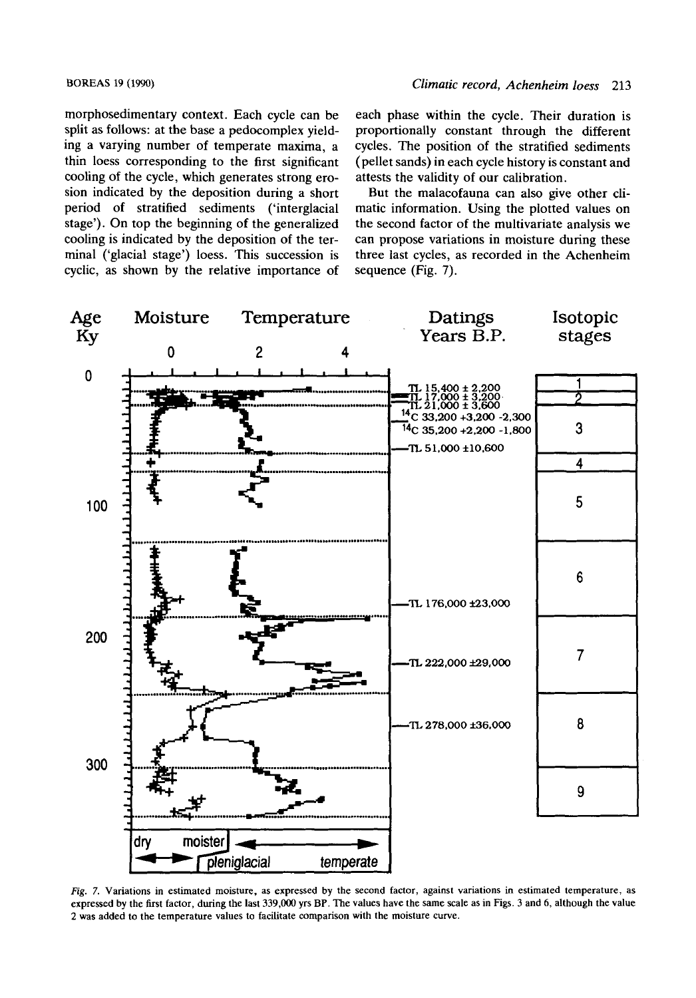morphosedimentary context. Each cycle can be split as follows: at the base a pedocomplex yielding a varying number of temperate maxima, a thin loess corresponding to the first significant cooling of the cycle, which generates strong erosion indicated by the deposition during a short period of stratified sediments ('interglacial stage'). On top the beginning of the generalized cooling is indicated by the deposition of the terminal ('glacial stage') loess. This succession is cyclic, as shown by the relative importance of

each phase within the cycle. Their duration is proportionally constant through the different cycles. The position of the stratified sediments (pellet sands) in each cycle history is constant and attests the validity of our calibration.

But the malacofauna can also give other climatic information. Using the plotted values on the second factor of the multivariate analysis we can propose variations in moisture during these three last cycles, as recorded in the Achenheim sequence (Fig. 7).



*Fig.* **7. Variations in estimated moisture, as expressed by the second factor, against variations in estimated temperature, as expressed by the first factor, during the last 339,000 yrs BP. The values have the same scale as in Figs. 3 and 6, although the value 2 was added to the temperature values to facilitate comparison with the moisture curve.**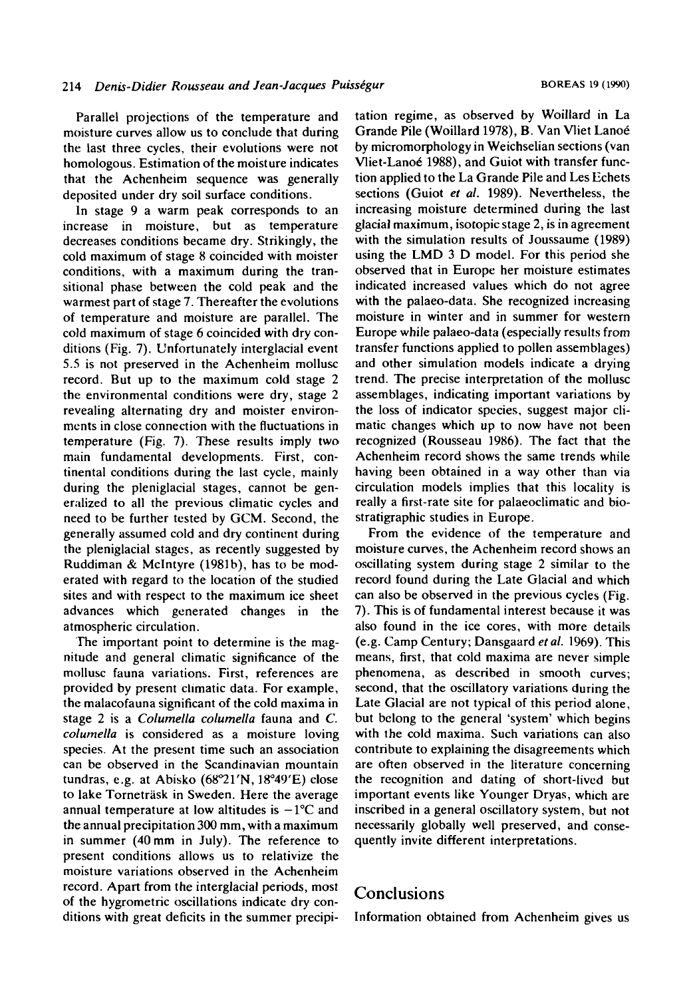Parallel projections of the temperature and moisture curves allow us to conclude that during the last three cycles, their evolutions were not homologous. Estimation of the moisture indicates that the Achenheim sequence was generally deposited under dry soil surface conditions.

In stage 9 a warm peak corresponds to an increase in moisture, but as temperature decreases conditions became dry. Strikingly, the cold maximum of stage *8* coincided with moister conditions, with a maximum during the transitional phase between the cold peak and the warmest part of stage 7. Thereafter the evolutions of temperature and moisture are parallel. The cold maximum of stage 6 coincided with dry conditions (Fig. 7). Unfortunately interglacial event 5.5 is not preserved in the Achenheim mollusc record. But up to the maximum cold stage 2 the environmental conditions were dry, stage 2 revealing alternating dry and moister environments in close connection with the fluctuations in temperature (Fig. 7). These results imply two main fundamental developments. First, continental conditions during the last cycle, mainly during the pleniglacial stages, cannot be generalized to all the previous climatic cycles and need to be further tested by GCM. Second, the generally assumed cold and dry continent during the pleniglacial stages, as recently suggested by Ruddiman & Mclntyre (1981h), has to be moderated with regard to the location of the studied sites and with respect to the maximum ice sheet advances which generated changes in the atmospheric circulation.

'The important point to determine is the magnitude and general climatic significance of the mollusc fauna variations. First, references are provided by present climatic data. For example, the malacofauna significant of the cold maxima in stage 2 is a *Colurnella colurnella* fauna and *C. columella* is considered as a moisture loving species. At the present time such an association can be observed in the Scandinavian mountain tundras, e.g. at Abisko **(68"21'N,** 18"40'E) close to lake Torneträsk in Sweden. Here the average annual temperature at low altitudes is  $-1$ <sup>o</sup>C and the annual precipitation 300 mm, with a maximum in summer (40mm in July). The reference to present conditions allows us to relativize the moisture variations observed in the Achenheim record. Apart from the interglacial periods, most of the hygrometric oscillations indicate dry conditions with great deficits in the summer precipitation regime, as observed by Woillard in La Grande Pile (Woillard 1978), B. Van Vliet Lanoe by micromorphology in Weichselian sections (van Vliet-Lanoé 1988), and Guiot with transfer function applied to the La Grande Pile and Les Echets sections (Guiot *et* al. 1989). Nevertheless, the increasing moisture determined during the last glacial maximum, isotopic stage 2, is in agreement with the simulation results of Joussaume (1989) using the LMD 3 D model. For this period she observed that in Europe her moisture estimates indicated increased values which do not agree with the palaeo-data. She recognized increasing moisture in winter and in summer for western Europe while palaeo-data (especially results from transfer functions applied to pollen assemblages) and other simulation models indicate a drying trend. The precise interpretation of the mollusc assemblages, indicating important variations by the loss of indicator species, suggest major climatic changes which up to now have not been recognized (Rousseau 1986). The fact that the Achenheim record shows the same trends while having been obtained in a way other than via circulation models implies that this locality is really a first-rate site for palaeoclimatic and biostratigraphic studies in Europe.

From the evidence of the temperature and moisture curves, the Achenheim record shows an oscillating system during stage 2 similar to the record found during the Late Glacial and which can also be observed in the previous cycles (Fig. 7). This is of fundamental interest because it was also found in the ice cores, with more details (e.g. Camp Century; Dansgaard *el* al. 1969). This means, first, that cold maxima are never simple phenomena, as described in smooth curves; second, that the oscillatory variations during the Late Glacial are not typical of this period alone, but belong to the general 'system' which begins with the cold maxima. Such variations can also contribute to explaining the disagreements which are often observed in the literature concerning the recognition and dating of short-lived but important events like Younger Dryas, which are inscribed in a general oscillatory system, but not necessarily globally well preserved, and consequently invite different interpretations.

## **Conclusions**

Information obtained from Achenheim gives us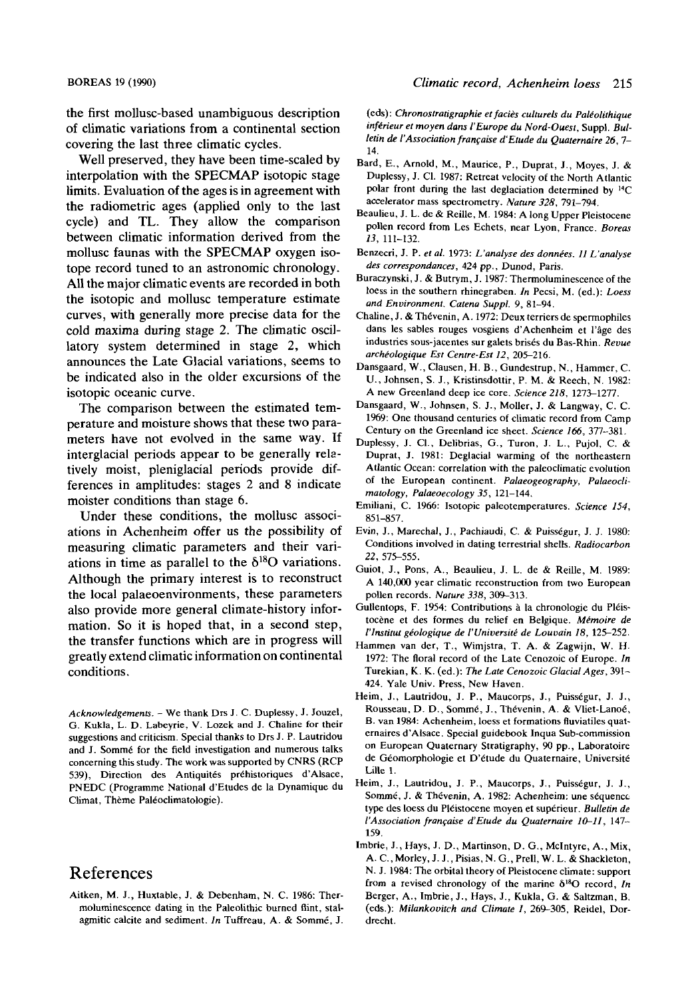the first mollusc-based unambiguous description of climatic variations from a continental section covering the last three climatic cycles.

Well preserved, they have been time-scaled by interpolation with the **SPECMAP** isotopic stage limits. Evaluation of the ages is in agreement with the radiometric ages (applied only to the last cycle) and TL. They allow the comparison between climatic information derived from the mollusc faunas with the **SPECMAP** oxygen isotope record tuned to an astronomic chronology. All the major climatic events are recorded in both the isotopic and mollusc temperature estimate curves, with generally more precise data for the cold maxima during stage **2.** The climatic oscillatory system determined in stage 2, which announces the Late Glacial variations, seems to be indicated also in the older excursions of the isotopic oceanic curve.

The comparison between the estimated temperature and moisture shows that these two parameters have not evolved in the same way. If interglacial periods appear to be generally reletively moist, pleniglacial periods provide differences in amplitudes: stages 2 and 8 indicate moister conditions than stage 6.

Under these conditions, the mollusc associations in Achenheim offer **us** the possibility of measuring climatic parameters and their variations in time as parallel to the  $\delta^{18}O$  variations. Although the primary interest is to reconstruct the local palaeoenvironments, these parameters also provide more general climate-history information. So it is hoped that, in a second step, the transfer functions which are in progress will greatly extend climatic information on continental conditions.

*Acknowledgements.* -We thank Drs J. C. Duplessy, J. Jouzel, G. Kukla, L. D. Labeyrie, V. Lozek and J. Chaline for their suggestions and criticism. Special thanks to Drs **J.** P. Lautridou and J. Sommé for the field investigation and numerous talks concerning this study. The work was supported by CNRS (RCP 539), Direction des Antiquités préhistoriques d'Alsace, PNEDC (Programme National d'Etudes de la Dynamique du Climat, Thème Paléoclimatologie).

### References

Aitken, M. J., Huxtable, J. & Debenham, N. C. 1986: Thermoluminescence dating in the Paleolithic burned flint, stalagmitic calcite and sediment. *In* Tuffreau, A. & Somm6, J. (eds): Chronostratigraphie et faciès culturels du Paléolithique *inférieur et moyen dans l'Europe du Nord-Ouest, Suppl. Bul*letin *de l'Association française d'Etude du Quaternaire 26, 7-***14.** 

- Bard, E., Arnold, M., Maurice, P., Duprat, J., Moyes, J. & Duplessy, J. CI. 1987: Retreat velocity *of* the North Atlantic polar front during the last deglaciation determined by I4C accelerator mass spectrometry. *Nature 328,* 791-794.
- Beaulieu, J. L. de & Reille, M. 1984: A long Upper Pleistocene<br>pollen record from Les Echets, near Lyon, France. *Boreas 13,* 111-132.
- Benzecri, **J.** P. *et al.* 1973: *L'analyse des donntes. I1 L'analyse des correspondances.* 424 pp., Dunod, Paris.
- Buraczynski, **J.** & Butrym, **J.** 1987: Thermoluminesceneeof the loess in the southern rhinegraben. In Pecsi, M. (ed.): *Loess and Environment. Catena Suppl.* 9, 81-94.
- Chaline, J. & Thévenin, A. 1972: Deux terriers de spermophiles dans les sables rouges vosgiens d'Achenheim et ]'age des industries sous-jacentes **sur** galets brises du Bas-Rhin. *Revue archtologique ESI Centre-Est 12,* 205-216.
- Dansgaard, W., Clausen, H. B., Gundestrup, N., Hammer, C. **U.,** Johnsen, S. **J.,** Kristinsdottir, P. M. & Reech, N. 1982: A new Greenland deep ice core. *Science 218*, 1273-1277.
- Dansgaard, W., Johnsen, S. J., **Moller,** J. & Langway, C. C. 1969: One thousand centuries of climatic record from Camp Century on the Greenland ice sheet. *Science 166,* 377-381.
- Duplessy, **J.** CI., Delibrias, G., Turon, **J.** L., Pujol, C. & Duprat, **J.** 1981: Deglacial warming of the northeastern Atlantic Ocean: correlation with the paleoclimatic evolution of the European continent. *Palaeogeography, Palaeoclimatology* , *Palaeoecology 35,* 12 1-144.
- Emiliani, C. 1966: Isotopic paleotemperatures. *Science 154,*  851-857.
- Evin, J., Marechal, I., Pachiaudi, C. & Puisstgur, **J.** J. 1980: Conditions involved in dating terrestrial shells. *Radiocarbon*  22,575-555.
- Guiot, J., Pons, A,, Beaulieu, **J.** L. de & Reille, M. 1989: A **140,OOO** year climatic reconstruction from two European pollen records. *Nature* 338, 309-313.
- Gullentops, F. 1954: Contributions à la chronologie du Pléistocène et des formes du relief en Belgique. Mémoire de *I'lnstitut gdologique de I'Unioersrtd de Louuain 18,* 125-252.
- Hammen van der, T., Wimjstra, T. A. & Zagwijn, **W.** H. 1972: The floral record of the Late Cenozoic of Europe. *In*  Turekian, K. K. (ed.): The Late Cenozoic Glacial Ages, 391-424. Yale Univ. Press, New Haven.
- Heim, J., Lautridou, J. P., Maucorps, J., Puisségur, J. J., Rousseau, D. D., Sommé, J., Thévenin, A. & Vliet-Lanoé, B. van 1984: Achenheim, loess et formations fluviatiles quaternaires d'Alsace. Special guidebook Inqua Sub-commission on European Quaternary Stratigraphy, **90** pp., Laboratoire de Géomorphologie et D'étude du Quaternaire, Université Lille **1.**
- Heim, J., Lautridou, J. P., Maucorps, J., Puisségur, J. J., Sommé, J. & Thévenin, A. 1982: Achenheim: une séquence type des loess du Pléistocene moyen et supérieur. *Bulletin de I'Association franfaise dEtude du Quaternaire 10-11,* 147- 159.
- Imbrie, **J.,** Hays, **J.** D., Martinson, D. G., McIntyre, A., Mix, A. C., Morley, **J. J.,** Pisias, N. G., Prell, **W.** L. & Shackleton, N. J. 1984: The orbital theory of Pleistocene climate: support from a revised chronology of the marine  $\delta^{18}O$  record, *In* Berger, A., Imbrie, J., Hays, J., Kukla, G. & Saltzman, B. (eds.): *Milankooirch and Climate I,* 269-305, Reidel, **Dor**drecht.